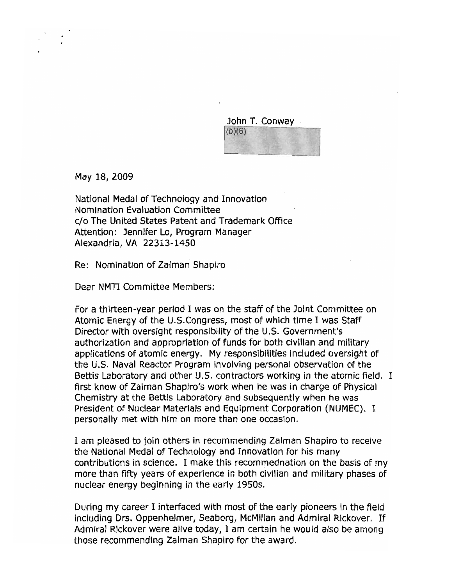John T. Conway  $(b)(6)$ 

May 18, 2009

National Medal of Technology and Innovation Nomination Evaluation Committee c/o The United States Patent and Trademark Office Attention: Jennifer Lo, Program Manager Alexandria, VA 22313-1450

Re: Nomination of Zalman Shapiro

Dear NMTI Committee Members:

For a thirteen-year period I was on the staff of the Joint Committee on Atomic Energy of the U.S.Congress, most of which time I was Staff Director with oversight responsibility of the U.S. Government's authorization and appropriation of funds for both civilian and military applications of atomic energy. My responsibilities included oversight of the U.S. Naval Reactor Program involving personal observation of the Bettis Laboratory and other U.S. contractors working in the atomic field. I first knew of Zalman Shapiro's work when he was in charge of Physical Chemistry at the Bettis Laboratory and subsequently when he was President of Nuclear Materials and Equipment Corporation (NUMEC). I personally met with him on more than one occasion.

I am pleased to join others in recommending Zalman Shapiro to receive the National Medal of Technology and Innovation for his many contributions in science. I make this recommednation on the basis of my more than fifty years of experience in both civilian and military phases of nuclear energy beginning in the early 19505.

During my career I interfaced with most of the early pioneers in the field including Drs. Oppenheimer, Seaborg, McMillan and Admiral Rickover. If Admiral Rickover were alive today, I am certain he would also be among those recommending Zalman Shapiro for the award.